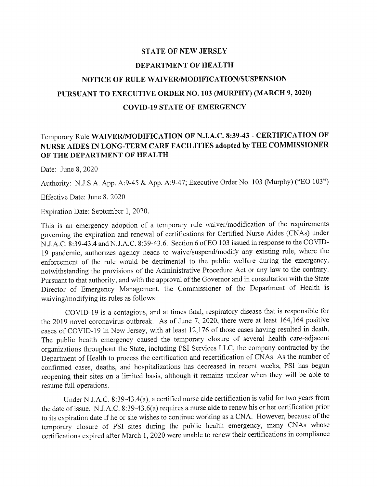## **STATE OF NEW JERSEY DEP ARTMENT OF HEALTH NOTICE OF RULE WAIVER/MODIFICATION/SUSPENSION PURSUANT TO EXECUTIVE ORDER NO. 103 (MURPHY) (MARCH 9, 2020) COVID-19 STATE OF EMERGENCY**

## Temporary Rule **WAIVERJMODIFICATION OF N.J.A.C. 8:39-43 - CERTIFICATION OF NURSE AIDES IN LONG-TERM CARE FACILITIES adopted by THE COMMISSIONER OF THE DEPARTMENT OF HEALTH**

Date: June 8, 2020

Authority: N.J.S.A. App. A:9-45 & App. A:9-47; Executive Order No. 103 (Murphy) ("EO 103")

Effective Date: June 8, 2020

Expiration Date: September 1, 2020.

This is an emergency adoption of a temporary rule waiver/modification of the requirements governing the expiration and renewal of certifications for Certified Nurse Aides (CNAs) under N.J.A.C. 8:39-43.4 and N.J.A.C. 8:39-43.6. Section 6 of EO 103 issued in response to the COVID-19 pandemic, authorizes agency heads to waive/suspend/modify any existing rule, where the enforcement of the rule would be detrimental to the public welfare during the emergency, notwithstanding the provisions of the Administrative Procedure Act or any law to the contrary. Pursuant to that authority, and with the approval of the Governor and in consultation with the State Director of Emergency Management, the Commissioner of the Department of Health is waiving/modifying its rules as follows:

COVID-19 is a contagious, and at times fatal, respiratory disease that is responsible for the 2019 novel coronavirus outbreak. As of June 7, 2020, there were at least 164,164 positive cases of COVID-19 in New Jersey, with at least 12,176 of those cases having resulted in death. The public health emergency caused the temporary closure of several health care-adjacent organizations throughout the State, including PSI Services LLC, the company contracted by the Department of Health to process the certification and recertification of CNAs. As the number of confirmed cases, deaths, and hospitalizations has decreased in recent weeks, PSI has begun reopening their sites on a limited basis, although it remains unclear when they will be able to resume full operations.

Under N.J.A.C. 8:39-43.4(a), a certified nurse aide certification is valid for two years from the date of issue. N.J.A.C. 8:39-43.6(a) requires a nurse aide to renew his or her certification prior to its expiration date ifhe or she wishes to continue working as a CNA. However, because of the temporary closure of PSI sites during the public health emergency, many CNAs whose certifications expired after March 1, 2020 were unable to renew their certifications in compliance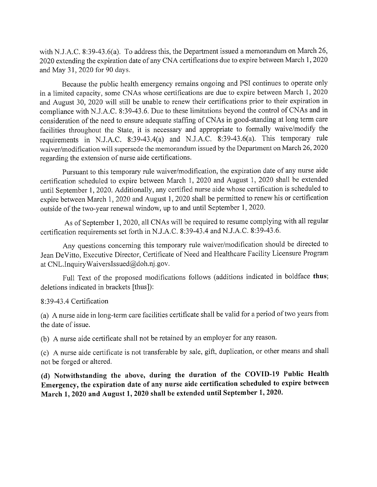with N.J.A.C. 8:39-43.6(a). To address this, the Department issued a memorandum on March 26, 2020 extending the expiration date of any CNA certifications due to expire between March 1, 2020 and May 31, 2020 for 90 days.

Because the public health emergency remains ongoing and PSI continues to operate only in a limited capacity, some CNAs whose certifications are due to expire between March 1, 2020 and August 30, 2020 will still be unable to renew their certifications prior to their expiration in compliance with N.J.A.C. 8:39-43.6. Due to these limitations beyond the control of CNAs and in consideration of the need to ensure adequate staffing of CNAs in good-standing at long term care facilities throughout the State, it is necessary and appropriate to formally waive/modify the requirements in NJ.A.C. 8:39-43.4(a) and NJ.A.C. 8:39-43.6(a). This temporary rule waiver/modification will supersede the memorandum issued by the Department on March 26, 2020 regarding the extension of nurse aide certifications.

Pursuant to this temporary rule waiver/modification, the expiration date of any nurse aide certification scheduled to expire between March 1, 2020 and August 1, 2020 shall be extended until September 1,2020. Additionally, any certified nurse aide whose certification is scheduled to expire between March 1, 2020 and August 1, 2020 shall be permitted to renew his or certification outside of the two-year renewal window, up to and until September 1, 2020.

As of September 1, 2020, all CNAs will be required to resume complying with all regular certification requirements set forth in N.J.A.C. 8:39-43.4 and N.J.A.C. 8:39-43.6.

Any questions concerning this temporary rule waiver/modification should be directed to Jean DeVitto, Executive Director, Certificate of Need and Healthcare Facility Licensure Program at CNL.InquiryWaiverslssued@doh.nj.gov.

Full Text of the proposed modifications follows (additions indicated in boldface thus; deletions indicated in brackets [thus]):

8:39-43.4 Certification

(a) A nurse aide in long-term care facilities certificate shall be valid for a period of two years from the date of issue.

(b) A nurse aide certificate shall not be retained by an employer for any reason.

(c) A nurse aide certificate is not transferable by sale, gift, duplication, or other means and shall not be forged or altered.

(d) Notwithstanding the above, during the duration of the COVID-19 Public Health Emergency, the expiration date of any nurse aide certification scheduled to expire between March 1,2020 and August 1,2020 shall be extended until September 1,2020.